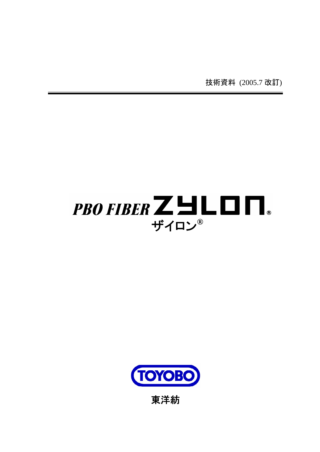技術資料 (2005.7 改訂)





東洋紡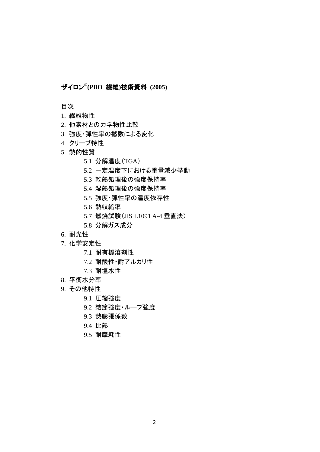# ザイロン**® (PBO** 繊維**)**技術資料 **(2005)**

目次

- 1. 繊維物性
- 2. 他素材との力学物性比較
- 3. 強度・弾性率の撚数による変化
- 4. クリープ特性
- 5. 熱的性質
	- 5.1 分解温度(TGA)
	- 5.2 一定温度下における重量減少挙動
	- 5.3 乾熱処理後の強度保持率
	- 5.4 湿熱処理後の強度保持率
	- 5.5 強度・弾性率の温度依存性
	- 5.6 熱収縮率
	- 5.7 燃焼試験(JIS L1091 A-4 垂直法)
	- 5.8 分解ガス成分
- 6. 耐光性
- 7. 化学安定性
	- 7.1 耐有機溶剤性
	- 7.2 耐酸性・耐アルカリ性
	- 7.3 耐塩水性
- 8. 平衡水分率
- 9. その他特性
	- 9.1 圧縮強度
	- 9.2 結節強度・ループ強度
	- 9.3 熱膨張係数
	- 9.4 比熱
	- 9.5 耐摩耗性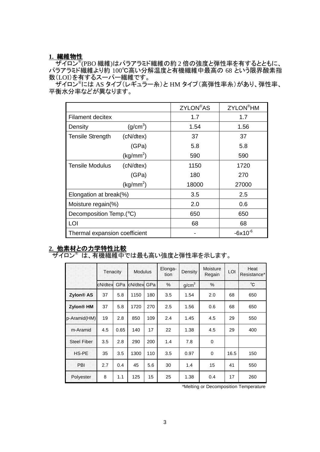## **1.** 繊維物性

**│ ザイロン<sup>®</sup>(PBO 繊維)はパラアラミド繊維の約 2 倍の強度と弾性率を有するとともに、** パラアラミド繊維より約 100℃高い分解温度と有機繊維中最高の 68 という限界酸素指 数(LOI)を有するスーパー繊維です。

.<br>ザイロン®には AS タイプ(レギュラー糸)と HM タイプ(高弾性率糸)があり、弾性率、 平衡水分率などが異なります。

|                               |                       | <b>ZYLON®AS</b> | <b>ZYLON®HM</b> |  |
|-------------------------------|-----------------------|-----------------|-----------------|--|
| <b>Filament decitex</b>       |                       | 1.7             | 1.7             |  |
| Density                       | (g/cm <sup>3</sup> )  | 1.54            | 1.56            |  |
| <b>Tensile Strength</b>       | (cN/dtex)             | 37              | 37              |  |
|                               | (GPa)                 | 5.8             | 5.8             |  |
|                               | (kg/mm <sup>2</sup> ) | 590             | 590             |  |
| <b>Tensile Modulus</b>        | (cN/dtex)             | 1150            | 1720            |  |
|                               | (GPa)                 | 180             | 270             |  |
|                               | (kg/mm <sup>2</sup> ) | 18000           | 27000           |  |
| Elongation at break(%)        |                       | 3.5             | 2.5             |  |
| Moisture regain(%)            |                       | 2.0             | 0.6             |  |
| Decomposition Temp.(°C)       |                       | 650             | 650             |  |
| LOI                           |                       | 68              | 68              |  |
| Thermal expansion coefficient |                       |                 | $-6x10^{-6}$    |  |

# **2.** 他素材との力学特性比較

ザイロン® は、有機繊維中では最も高い強度と弾性率を示します。

|                       | Tenacity |      | Modulus:    |     | Elonga-<br>tion | Density           | <b>Moisture</b><br>Regain | LOI  | Heat<br>Resistance* |
|-----------------------|----------|------|-------------|-----|-----------------|-------------------|---------------------------|------|---------------------|
|                       | cN/dtex  | GPa  | cN/dtex GPa |     | %               | g/cm <sup>3</sup> | $\%$                      |      | °C                  |
| Zylon <sup>®</sup> AS | 37       | 5.8  | 1150        | 180 | 3.5             | 1.54              | 2.0                       | 68   | 650                 |
| Zylon <sup>®</sup> HM | 37       | 5.8  | 1720        | 270 | 2.5             | 1.56              | 0.6                       | 68   | 650                 |
| p-Aramid(HM)          | 19       | 2.8  | 850         | 109 | 2.4             | 1.45              | 4.5                       | 29   | 550                 |
| m-Aramid              | 4.5      | 0.65 | 140         | 17  | 22              | 1.38              | 4.5                       | 29   | 400                 |
| <b>Steel Fiber</b>    | 3.5      | 2.8  | 290         | 200 | 1.4             | 7.8               | 0                         |      |                     |
| HS-PE                 | 35       | 3.5  | 1300        | 110 | 3.5             | 0.97              | 0                         | 16.5 | 150                 |
| PBI                   | 2.7      | 0.4  | 45          | 5.6 | 30              | 1.4               | 15                        | 41   | 550                 |
| Polyester             | 8        | 1.1  | 125         | 15  | 25              | 1.38              | 0.4                       | 17   | 260                 |

\*Melting or Decomposition Temperature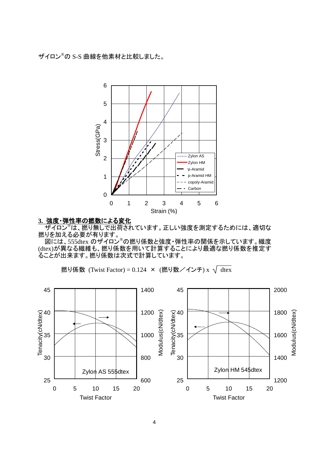ザイロン®の S-S 曲線を他素材と比較しました。



#### **3.** 強度・弾性率の撚数による変化

 ザイロン®は、撚り無しで出荷されています。正しい強度を測定するためには、適切な 撚りを加える必要が有ります。

 図には、555dtex のザイロン®の撚り係数と強度・弾性率の関係を示しています。繊度 (dtex)が異なる繊維も、撚り係数を用いて計算することにより最適な撚り係数を推定す ることが出来ます。撚り係数は次式で計算しています。

撚り係数 (Twist Factor) = 0.124 × (撚り数/インチ) x  $\sqrt{\frac{text}{\sqrt{1+\frac{1}{n}}}}$ 

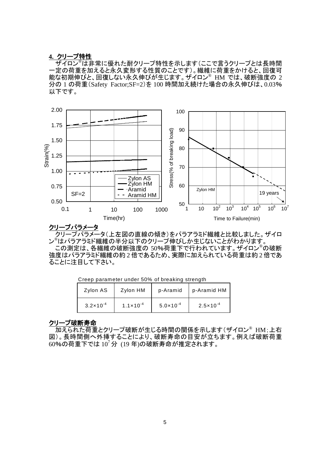#### **4.** クリープ特性

 ザイロン®は非常に優れた耐クリープ特性を示します(ここで言うクリープとは長時間 一定の荷重を加えると永久変形する性質のことです)。繊維に荷重をかけると、回復可 能な初期伸びと、回復しない永久伸びが生じます。ザイロン®HMでは、破断強度の 2 分の 1 の荷重(Safety Factor;SF=2)を 100 時間加え続けた場合の永久伸びは、0.03% 以下です。



### クリープパラメータ

 クリープパラメータ(上左図の直線の傾き)をパラアラミド繊維と比較しました。ザイロ ン ®はパラアラミド繊維の半分以下のクリープ伸びしか生じないことがわかります。 この測定は、各繊維の破断強度の 50%荷重下で行われています。ザイロン®の破断 強度はパラアラミド繊維の約2倍であるため、実際に加えられている荷重は約2倍であ

ることに注目して下さい。

| Zylon AS             | Zylon HM             | p-Aramid             | p-Aramid HM          |  |  |
|----------------------|----------------------|----------------------|----------------------|--|--|
| $3.2 \times 10^{-4}$ | $1.1 \times 10^{-4}$ | $5.0 \times 10^{-4}$ | $2.5 \times 10^{-4}$ |  |  |

Creep parameter under 50% of breaking strength

#### クリープ破断寿命

**| 加えられた荷重とクリープ破断が生じる時間の関係を示します(ザイロン® HM;上右** 図)。長時間側へ外挿することにより、破断寿命の目安が立ちます。例えば破断荷重  $60%$ の荷重下では $10^7$ 分 $(19 \text{ ft})$ の破断寿命が推定されます。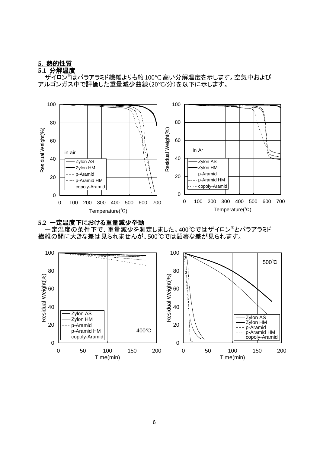# **5.** 熱的性質

**5.1** 分解温度

 ザイロン®はパラアラミド繊維よりも約 100°C 高い分解温度を示します。空気中および アルゴンガス中で評価した重量減少曲線(20°C/分)を以下に示します。





<u>−−−−−−−−−−−−−−−−−−−−−−−−−−−−−−−−−</u><br>−定温度の条件下で、重量減少を測定しました。400℃ではザイロン®とパラアラミド 繊維の間に大きな差は見られませんが、500℃では顕著な差が見られます。

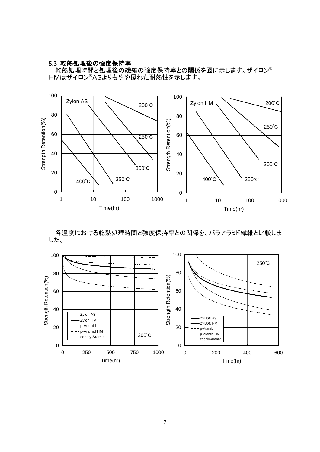#### **5.3** 乾熱処理後の強度保持率

 乾熱処理時間と処理後の繊維の強度保持率との関係を図に示します。ザイロン® HMはザイロン®ASよりもやや優れた耐熱性を示します。



 各温度における乾熱処理時間と強度保持率との関係を、パラアラミド繊維と比較しま した。

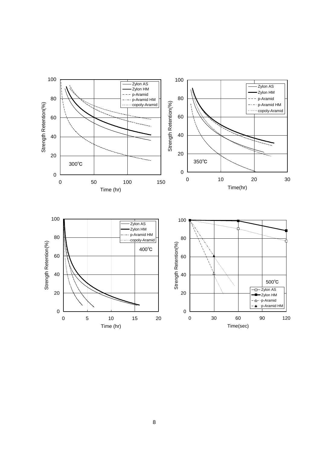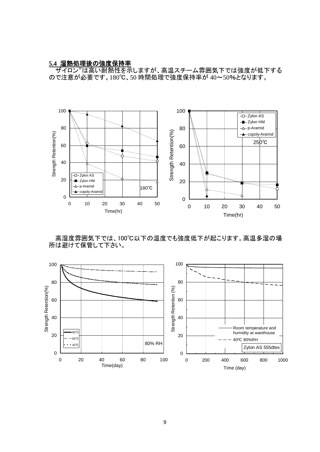#### **5.4** 湿熱処理後の強度保持率

**| ザイロン®は高い耐熱性を示しますが、高温スチーム雰囲気下では強度が低下する** ので注意が必要です。180℃、50 時間処理で強度保持率が 40~50%となります。



 高湿度雰囲気下では、100℃以下の温度でも強度低下が起こります。高温多湿の場 所は避けて保管して下さい。

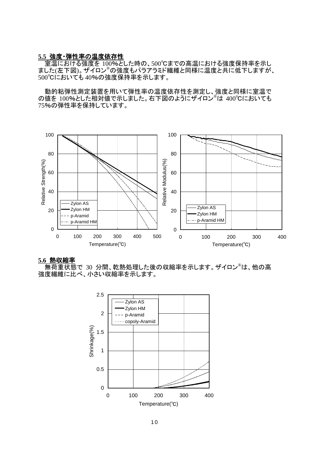#### **5.5** 強度・弾性率の温度依存性

 室温における強度を 100%とした時の、500℃までの高温における強度保持率を示し ました(左下図)。ザイロン®の強度もパラアラミド繊維と同様に温度と共に低下しますが、 500℃においても 40%の強度保持率を示します。

 動的粘弾性測定装置を用いて弾性率の温度依存性を測定し、強度と同様に室温で の値を 100%とした相対値で示しました。右下図のようにザイロン®は 400℃においても 75%の弾性率を保持しています。



#### **5.6** 熱収縮率

 無荷重状態で 30 分間、乾熱処理した後の収縮率を示します。ザイロン®は、他の高 強度繊維に比べ、小さい収縮率を示します。

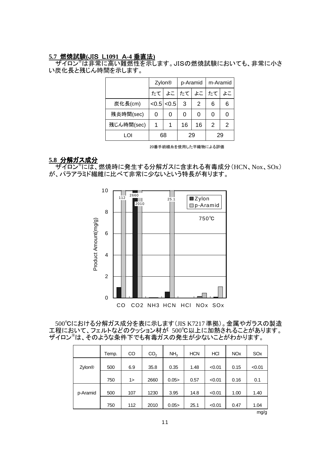#### **5.7** 燃焼試験**(**JIS L**1091** A**-4** 垂直法**)**

<mark>゠ザイロン®は非常に高い難燃性を示し</mark>ます。JISの燃焼試験においても、非常に小さ い炭化長と残じん時間を示します。

|            | Zylon <sup>®</sup> |       | p-Aramid |    | m-Aramid |    |
|------------|--------------------|-------|----------|----|----------|----|
|            | たてー                |       | よこ たて    |    | よこしたて    | よこ |
| 炭化長(cm)    | < 0.5              | < 0.5 | 3        | 2  | 6        | 6  |
| 残炎時間(sec)  |                    | Ω     | 0        | 0  | 0        |    |
| 残じん時間(sec) |                    |       | 16       | 16 | 2        | 2  |
| LOI        | 68                 |       | 29       |    | 29       |    |

20番手紡績糸を使用した平織物による評価

#### **5.8** 分解ガス成分

 ザイロン®には、燃焼時に発生する分解ガスに含まれる有毒成分(HCN、Nox、SOx) が、パラアラミド繊維に比べて非常に少ないという特長が有ります。



 500℃における分解ガス成分を表に示します(JIS K7217準拠)。金属やガラスの製造 工程において、フェルトなどのクッション材が 500℃以上に加熱されることがあります。 ザイロン®は、そのような条件下でも有毒ガスの発生が少ないことがわかります。

|          | Temp. | <sub>CO</sub> | CO <sub>2</sub> | NH <sub>3</sub> | <b>HCN</b> | HCI    | <b>NO<sub>x</sub></b> | SO <sub>x</sub> |
|----------|-------|---------------|-----------------|-----------------|------------|--------|-----------------------|-----------------|
| Zylon®   | 500   | 6.9           | 35.8            | 0.35            | 1.48       | < 0.01 | 0.15                  | < 0.01          |
|          | 750   | 1>            | 2660            | 0.05            | 0.57       | < 0.01 | 0.16                  | 0.1             |
| p-Aramid | 500   | 107           | 1230            | 3.95            | 14.8       | < 0.01 | 1.00                  | 1.40            |
|          | 750   | 112           | 2010            | 0.05            | 25.1       | < 0.01 | 0.47                  | 1.04            |
|          |       |               |                 |                 |            |        |                       | mg/g            |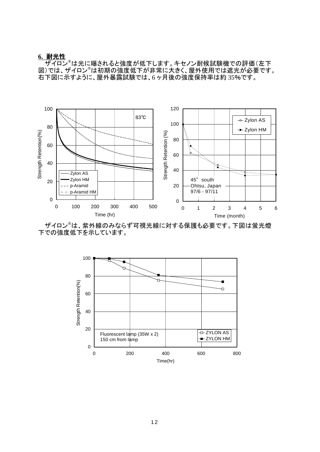#### **6.** 耐光性

ールファー<br>ザイロン®は光に曝されると強度が低下します。キセノン耐候試験機での評価(左下 図)では、ザイロン®は初期の強度低下が非常に大きく、屋外使用では遮光が必要です。 右下図に示すように、屋外暴露試験では、6 ヶ月後の強度保持率は約 35%です。



 ザイロン®は、紫外線のみならず可視光線に対する保護も必要です。下図は蛍光燈 下での強度低下を示しています。

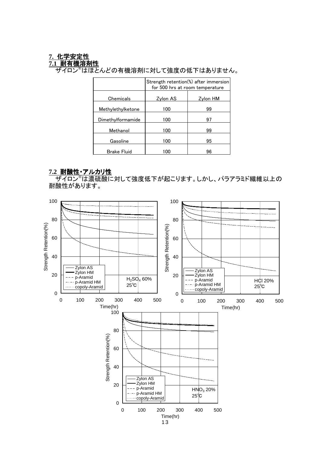# **7.** 化学安定性

**7.1** 耐有機溶剤性

<u>- \*\*\*\*\*\*\*\*\*\*\*\*\*\*\*\*\*\*\*\*\*</u><br>ザイロン®はほとんどの有機溶剤に対して強度の低下はありません。

|                    | Strength retention(%) after immersion<br>for 500 hrs at room temperature |          |  |  |
|--------------------|--------------------------------------------------------------------------|----------|--|--|
| Chemicals          | Zylon AS                                                                 | Zylon HM |  |  |
| Methylethylketone  | 100                                                                      | 99       |  |  |
| Dimethylformamide  | 100                                                                      | 97       |  |  |
| Methanol           | 100                                                                      | 99       |  |  |
| Gasoline           | 100                                                                      | 95       |  |  |
| <b>Brake Fluid</b> | 100                                                                      | 96       |  |  |

## **7.2** 耐酸性・アルカリ性

**│ ザイロン®は濃硫酸に対して強度低下が起こります。しかし、パラアラミド繊維以上の** 耐酸性があります。

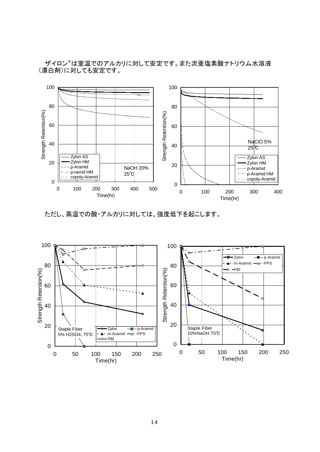ザイロン®は室温でのアルカリに対して安定です。また次亜塩素酸ナトリウム水溶液 (漂白剤)に対しても安定です。



ただし、高温での酸・アルカリに対しては、強度低下を起こします。

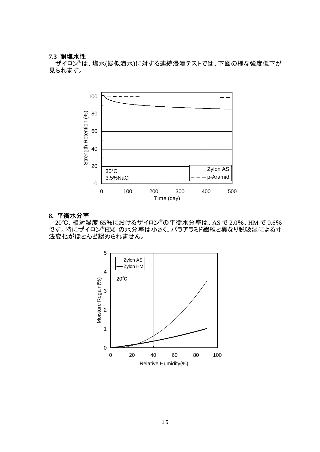### **7.3** 耐塩水性

 **̄ザイロン<sup>®</sup>は、塩水(疑似海水)に対する連続浸漬テストでは、下図の様な強度低下が** 見られます。



#### **8.** 平衡水分率

 $\overline{120^{\circ}$ C、相対湿度 65%におけるザイロン®の平衡水分率は、AS で 2.0%、HM で 0.6% です。特にザイロン®HM の水分率は小さく、パラアラミド繊維と異なり脱吸湿による寸 法変化がほとんど認められません。

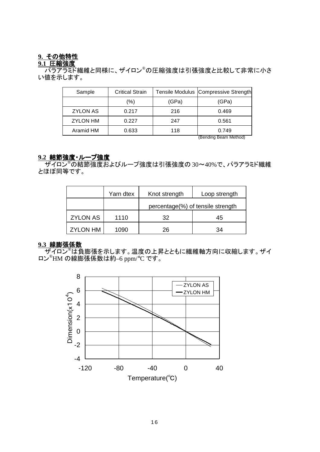## **9.** その他特性

## **9.1** 圧縮強度

 パラアラミド繊維と同様に、ザイロン®の圧縮強度は引張強度と比較して非常に小さ い値を示します。

| Sample          | <b>Critical Strain</b> |       | Tensile Modulus Compressive Strength |
|-----------------|------------------------|-------|--------------------------------------|
|                 | (%)                    | (GPa) | (GPa)                                |
| <b>ZYLON AS</b> | 0.217                  | 216   | 0.469                                |
| <b>ZYLON HM</b> | 0.227                  | 247   | 0.561                                |
| Aramid HM       | 0.633                  | 118   | 0.749                                |
|                 |                        |       | (Rending Ream Method)                |

(Bending Beam Method)

#### **9.2** 結節強度・ループ強度

<u>- 1.4.4.5.5%。..................</u><br>ザイロン<sup>®</sup>の結節強度およびループ強度は引張強度の 30~40%で、パラアラミド繊維 とほぼ同等です。

|                 | Yarn dtex | Knot strength                     | Loop strength |
|-----------------|-----------|-----------------------------------|---------------|
|                 |           | percentage(%) of tensile strength |               |
| <b>ZYLON AS</b> | 1110      | 32                                | 45            |
| <b>ZYLON HM</b> | 1090      | 26                                | 34            |

### **9.3** 線膨張係数

<u>——————————</u><br>ザイロン®は負膨張を示します。温度の上昇とともに繊維軸方向に収縮します。 ザイ ロン®HM の線膨張係数は約–6 ppm/°C です。

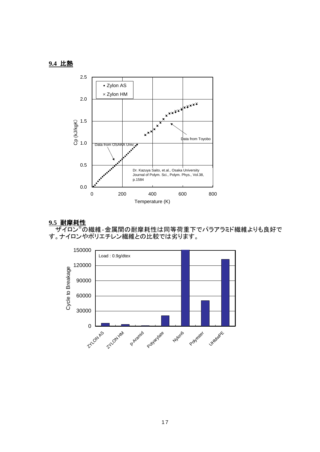# **9.4** 比熱



#### **9.5** 耐摩耗性

**│ ザイロン®の繊維-金属間の耐摩耗性は同等荷重下でパラアラミド繊維よりも良好で** す。ナイロンやポリエチレン繊維との比較では劣ります。